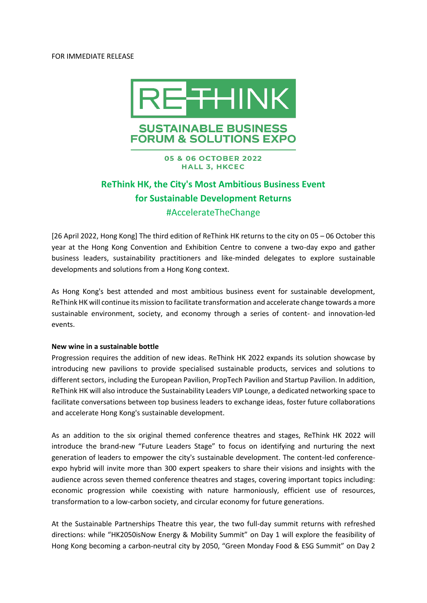#### FOR IMMEDIATE RELEASE



# **SUSTAINABLE BUSINESS FORUM & SOLUTIONS EXPO**

**05 & 06 OCTOBER 2022 HALL 3, HKCEC** 

# **ReThink HK, the City's Most Ambitious Business Event for Sustainable Development Returns** #AccelerateTheChange

[26 April 2022, Hong Kong] The third edition of ReThink HK returns to the city on 05 – 06 October this year at the Hong Kong Convention and Exhibition Centre to convene a two-day expo and gather business leaders, sustainability practitioners and like-minded delegates to explore sustainable developments and solutions from a Hong Kong context.

As Hong Kong's best attended and most ambitious business event for sustainable development, ReThink HK will continue its mission to facilitate transformation and accelerate change towards a more sustainable environment, society, and economy through a series of content- and innovation-led events.

#### **New wine in a sustainable bottle**

Progression requires the addition of new ideas. ReThink HK 2022 expands its solution showcase by introducing new pavilions to provide specialised sustainable products, services and solutions to different sectors, including the European Pavilion, PropTech Pavilion and Startup Pavilion. In addition, ReThink HK will also introduce the Sustainability Leaders VIP Lounge, a dedicated networking space to facilitate conversations between top business leaders to exchange ideas, foster future collaborations and accelerate Hong Kong's sustainable development.

As an addition to the six original themed conference theatres and stages, ReThink HK 2022 will introduce the brand-new "Future Leaders Stage" to focus on identifying and nurturing the next generation of leaders to empower the city's sustainable development. The content-led conferenceexpo hybrid will invite more than 300 expert speakers to share their visions and insights with the audience across seven themed conference theatres and stages, covering important topics including: economic progression while coexisting with nature harmoniously, efficient use of resources, transformation to a low-carbon society, and circular economy for future generations.

At the Sustainable Partnerships Theatre this year, the two full-day summit returns with refreshed directions: while "HK2050isNow Energy & Mobility Summit" on Day 1 will explore the feasibility of Hong Kong becoming a carbon-neutral city by 2050, "Green Monday Food & ESG Summit" on Day 2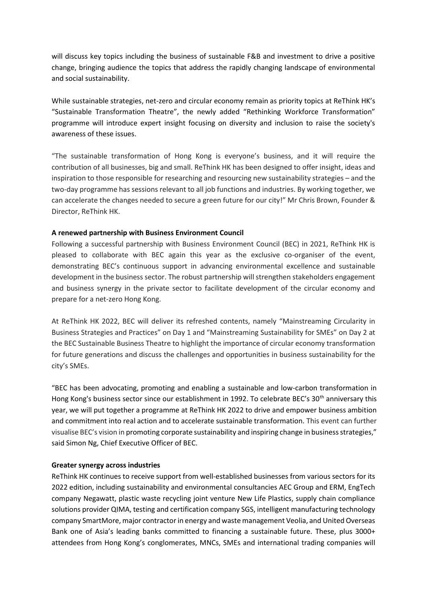will discuss key topics including the business of sustainable F&B and investment to drive a positive change, bringing audience the topics that address the rapidly changing landscape of environmental and social sustainability.

While sustainable strategies, net-zero and circular economy remain as priority topics at ReThink HK's "Sustainable Transformation Theatre", the newly added "Rethinking Workforce Transformation" programme will introduce expert insight focusing on diversity and inclusion to raise the society's awareness of these issues.

"The sustainable transformation of Hong Kong is everyone's business, and it will require the contribution of all businesses, big and small. ReThink HK has been designed to offer insight, ideas and inspiration to those responsible for researching and resourcing new sustainability strategies – and the two-day programme has sessions relevant to all job functions and industries. By working together, we can accelerate the changes needed to secure a green future for our city!" Mr Chris Brown, Founder & Director, ReThink HK.

## **A renewed partnership with Business Environment Council**

Following a successful partnership with Business Environment Council (BEC) in 2021, ReThink HK is pleased to collaborate with BEC again this year as the exclusive co-organiser of the event, demonstrating BEC's continuous support in advancing environmental excellence and sustainable development in the business sector. The robust partnership will strengthen stakeholders engagement and business synergy in the private sector to facilitate development of the circular economy and prepare for a net-zero Hong Kong.

At ReThink HK 2022, BEC will deliver its refreshed contents, namely "Mainstreaming Circularity in Business Strategies and Practices" on Day 1 and "Mainstreaming Sustainability for SMEs" on Day 2 at the BEC Sustainable Business Theatre to highlight the importance of circular economy transformation for future generations and discuss the challenges and opportunities in business sustainability for the city's SMEs.

"BEC has been advocating, promoting and enabling a sustainable and low-carbon transformation in Hong Kong's business sector since our establishment in 1992. To celebrate BEC's 30<sup>th</sup> anniversary this year, we will put together a programme at ReThink HK 2022 to drive and empower business ambition and commitment into real action and to accelerate sustainable transformation. This event can further visualise BEC's vision in promoting corporate sustainability and inspiring change in business strategies," said Simon Ng, Chief Executive Officer of BEC.

#### **Greater synergy across industries**

ReThink HK continues to receive support from well-established businesses from various sectors for its 2022 edition, including sustainability and environmental consultancies AEC Group and ERM, EngTech company Negawatt, plastic waste recycling joint venture New Life Plastics, supply chain compliance solutions provider QIMA, testing and certification company SGS, intelligent manufacturing technology company SmartMore, major contractor in energy and waste management Veolia, and United Overseas Bank one of Asia's leading banks committed to financing a sustainable future. These, plus 3000+ attendees from Hong Kong's conglomerates, MNCs, SMEs and international trading companies will